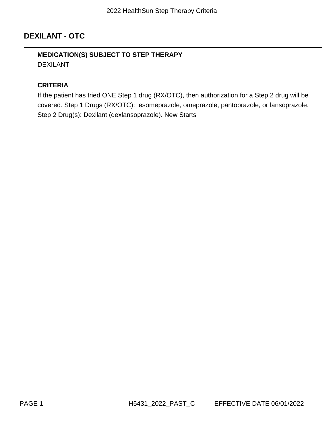# **DEXILANT - OTC**

# **MEDICATION(S) SUBJECT TO STEP THERAPY** DEXILANT

#### **CRITERIA**

If the patient has tried ONE Step 1 drug (RX/OTC), then authorization for a Step 2 drug will be covered. Step 1 Drugs (RX/OTC): esomeprazole, omeprazole, pantoprazole, or lansoprazole. Step 2 Drug(s): Dexilant (dexlansoprazole). New Starts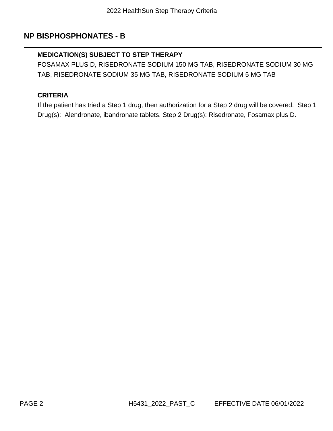# **NP BISPHOSPHONATES - B**

# **MEDICATION(S) SUBJECT TO STEP THERAPY**

FOSAMAX PLUS D, RISEDRONATE SODIUM 150 MG TAB, RISEDRONATE SODIUM 30 MG TAB, RISEDRONATE SODIUM 35 MG TAB, RISEDRONATE SODIUM 5 MG TAB

### **CRITERIA**

If the patient has tried a Step 1 drug, then authorization for a Step 2 drug will be covered. Step 1 Drug(s): Alendronate, ibandronate tablets. Step 2 Drug(s): Risedronate, Fosamax plus D.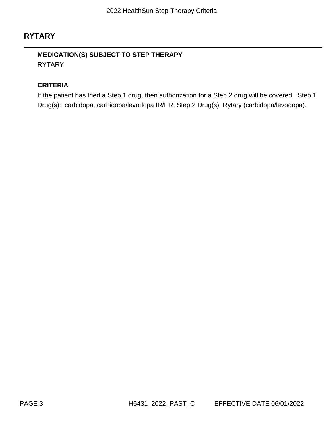# **RYTARY**

# **MEDICATION(S) SUBJECT TO STEP THERAPY** RYTARY

#### **CRITERIA**

If the patient has tried a Step 1 drug, then authorization for a Step 2 drug will be covered. Step 1 Drug(s): carbidopa, carbidopa/levodopa IR/ER. Step 2 Drug(s): Rytary (carbidopa/levodopa).